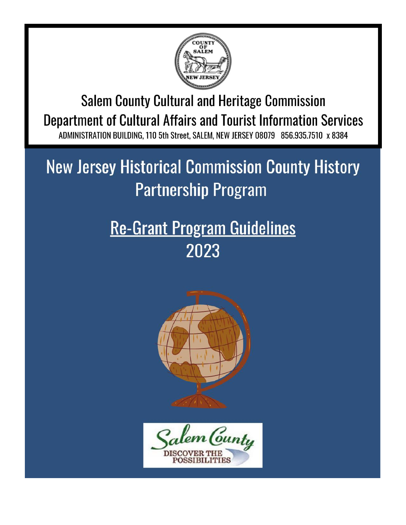

**Salem County Cultural and Heritage Commission** Department of Cultural Affairs and Tourist Information Services ADMINISTRATION BUILDING, 110 5th Street, SALEM, NEW JERSEY 08079 856,935,7510 x 8384

# **New Jersey Historical Commission County History Partnership Program**

# **Re-Grant Program Guidelines** 2023



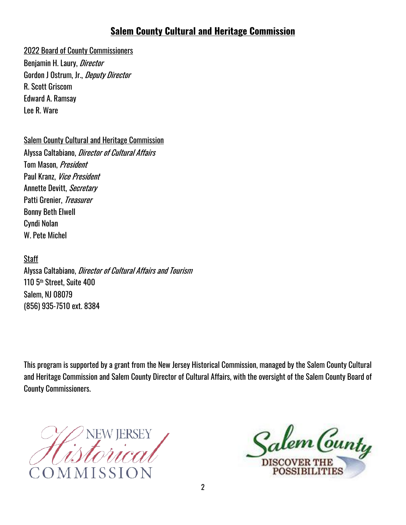#### **Salem County Cultural and Heritage Commission**

#### 2022 Board of County Commissioners

Benjamin H. Laury, *Director* Gordon J Ostrum, Jr., *Deputy Director* R. Scott Griscom Edward A. Ramsay Lee R. Ware

Salem County Cultural and Heritage Commission

Alyssa Caltabiano, Director of Cultural Affairs Tom Mason, President Paul Kranz, Vice President Annette Devitt, Secretary Patti Grenier, Treasurer Bonny Beth Elwell Cyndi Nolan W. Pete Michel

**Staff** 

Alyssa Caltabiano, Director of Cultural Affairs and Tourism 110 5th Street, Suite 400 Salem, NJ 08079 (856) 935-7510 ext. 8384

This program is supported by a grant from the New Jersey Historical Commission, managed by the Salem County Cultural and Heritage Commission and Salem County Director of Cultural Affairs, with the oversight of the Salem County Board of County Commissioners.

lem Cunty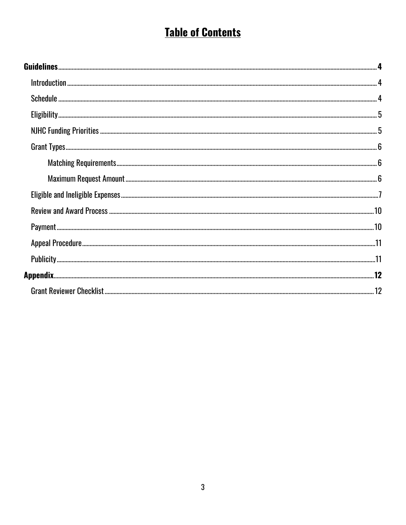# **Table of Contents**

| $\textbf{Matching Requirements} \textit{3} \textit{3} \textit{4} \textit{5} \textit{5} \textit{6} \textit{6} \textit{7} \textit{6} \textit{7} \textit{7} \textit{8} \textit{8} \textit{1} \textit{1} \textit{1} \textit{1} \textit{1} \textit{1} \textit{1} \textit{1} \textit{1} \textit{1} \textit{1} \textit{1} \textit{1} \textit{1} \textit{1} \textit{1} \textit{1} \textit{1} \textit{1} \textit{1} \textit{1} \textit{1} \textit$ |  |
|-------------------------------------------------------------------------------------------------------------------------------------------------------------------------------------------------------------------------------------------------------------------------------------------------------------------------------------------------------------------------------------------------------------------------------------------|--|
|                                                                                                                                                                                                                                                                                                                                                                                                                                           |  |
|                                                                                                                                                                                                                                                                                                                                                                                                                                           |  |
|                                                                                                                                                                                                                                                                                                                                                                                                                                           |  |
|                                                                                                                                                                                                                                                                                                                                                                                                                                           |  |
|                                                                                                                                                                                                                                                                                                                                                                                                                                           |  |
|                                                                                                                                                                                                                                                                                                                                                                                                                                           |  |
|                                                                                                                                                                                                                                                                                                                                                                                                                                           |  |
|                                                                                                                                                                                                                                                                                                                                                                                                                                           |  |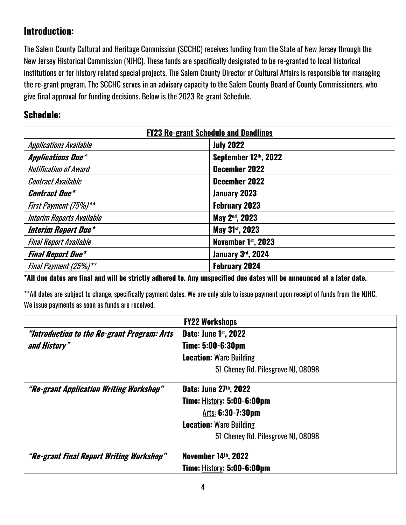# **Introduction:**

The Salem County Cultural and Heritage Commission (SCCHC) receives funding from the State of New Jersey through the New Jersey Historical Commission (NJHC). These funds are specifically designated to be re-granted to local historical institutions or for history related special projects. The Salem County Director of Cultural Affairs is responsible for managing the re-grant program. The SCCHC serves in an advisory capacity to the Salem County Board of County Commissioners, who give final approval for funding decisions. Below is the 2023 Re-grant Schedule.

#### **Schedule:**

| <b>FY23 Re-grant Schedule and Deadlines</b> |                             |
|---------------------------------------------|-----------------------------|
| <b>Applications Available</b>               | <b>July 2022</b>            |
| <b>Applications Due*</b>                    | September 12th, 2022        |
| <b>Notification of Award</b>                | December 2022               |
| <b>Contract Available</b>                   | December 2022               |
| <b>Contract Due*</b>                        | January 2023                |
| First Payment (75%)**                       | <b>February 2023</b>        |
| <b>Interim Reports Available</b>            | May 2 <sup>nd</sup> , 2023  |
| <b>Interim Report Due*</b>                  | May 31 <sup>st</sup> , 2023 |
| <b>Final Report Available</b>               | November 1st, 2023          |
| <b>Final Report Due*</b>                    | January 3rd, 2024           |
| Final Payment (25%)**                       | <b>February 2024</b>        |

**\*All due dates are final and will be strictly adhered to. Any unspecified due dates will be announced at a later date.**

\*\*All dates are subject to change, specifically payment dates. We are only able to issue payment upon receipt of funds from the NJHC. We issue payments as soon as funds are received.

| <b>FY22 Workshops</b>                       |                                    |
|---------------------------------------------|------------------------------------|
| "Introduction to the Re-grant Program: Arts | Date: June 1st, 2022               |
| and History"                                | Time: 5:00-6:30pm                  |
|                                             | <b>Location: Ware Building</b>     |
|                                             | 51 Cheney Rd. Pilesgrove NJ, 08098 |
| "Re-grant Application Writing Workshop"     | Date: June 27th, 2022              |
|                                             | Time: History: 5:00-6:00pm         |
|                                             | Arts: 6:30-7:30pm                  |
|                                             | <b>Location: Ware Building</b>     |
|                                             | 51 Cheney Rd. Pilesgrove NJ, 08098 |
| "Re-grant Final Report Writing Workshop"    | November 14th, 2022                |
|                                             | <b>Time: History: 5:00-6:00pm</b>  |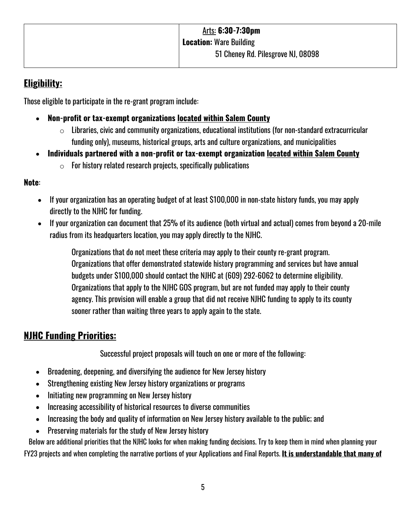# **Eligibility:**

Those eligible to participate in the re-grant program include:

- **Non-profit or tax-exempt organizations located within Salem County**
	- $\circ$  Libraries, civic and community organizations, educational institutions (for non-standard extracurricular funding only), museums, historical groups, arts and culture organizations, and municipalities
- **Individuals partnered with a non-profit or tax-exempt organization located within Salem County**
	- $\circ$  For history related research projects, specifically publications

#### **Note**:

- If your organization has an operating budget of at least \$100,000 in non-state history funds, you may apply directly to the NJHC for funding.
- If your organization can document that 25% of its audience (both virtual and actual) comes from beyond a 20-mile radius from its headquarters location, you may apply directly to the NJHC.

Organizations that do not meet these criteria may apply to their county re-grant program. Organizations that offer demonstrated statewide history programming and services but have annual budgets under \$100,000 should contact the NJHC at (609) 292-6062 to determine eligibility. Organizations that apply to the NJHC GOS program, but are not funded may apply to their county agency. This provision will enable a group that did not receive NJHC funding to apply to its county sooner rather than waiting three years to apply again to the state.

# **NJHC Funding Priorities:**

Successful project proposals will touch on one or more of the following:

- Broadening, deepening, and diversifying the audience for New Jersey history
- Strengthening existing New Jersey history organizations or programs
- Initiating new programming on New Jersey history
- Increasing accessibility of historical resources to diverse communities
- Increasing the body and quality of information on New Jersey history available to the public; and
- Preserving materials for the study of New Jersey history

Below are additional priorities that the NJHC looks for when making funding decisions. Try to keep them in mind when planning your

FY23 projects and when completing the narrative portions of your Applications and Final Reports. **It is understandable that many of**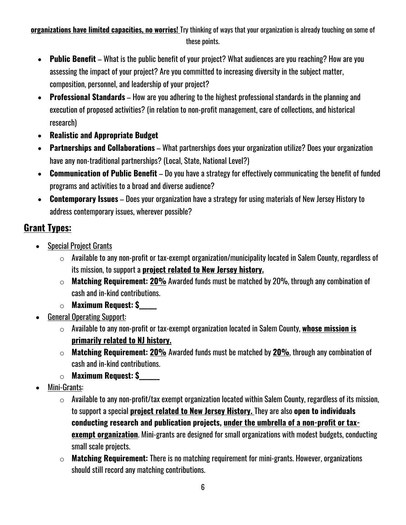#### **organizations have limited capacities, no worries!** Try thinking of ways that your organization is already touching on some of these points.

- **Public Benefit** What is the public benefit of your project? What audiences are you reaching? How are you assessing the impact of your project? Are you committed to increasing diversity in the subject matter, composition, personnel, and leadership of your project?
- **Professional Standards** How are you adhering to the highest professional standards in the planning and execution of proposed activities? (in relation to non-profit management, care of collections, and historical research)
- **Realistic and Appropriate Budget**
- **Partnerships and Collaborations** What partnerships does your organization utilize? Does your organization have any non-traditional partnerships? (Local, State, National Level?)
- **Communication of Public Benefit** Do you have a strategy for effectively communicating the benefit of funded programs and activities to a broad and diverse audience?
- **Contemporary Issues** Does your organization have a strategy for using materials of New Jersey History to address contemporary issues, wherever possible?

# **Grant Types:**

- Special Project Grants
	- $\circ$  Available to any non-profit or tax-exempt organization/municipality located in Salem County, regardless of its mission, to support a **project related to New Jersey history.**
	- o **Matching Requirement: 20%** Awarded funds must be matched by 20%, through any combination of cash and in-kind contributions.
	- o **Maximum Request: \$\_\_\_\_\_\_**
- General Operating Support:
	- o Available to any non-profit or tax-exempt organization located in Salem County, **whose mission is primarily related to NJ history.**
	- o **Matching Requirement: 20%** Awarded funds must be matched by **20%**, through any combination of cash and in-kind contributions.
	- o **Maximum Request: \$\_\_\_\_\_\_\_**
- Mini-Grants:
	- $\circ$  Available to any non-profit/tax exempt organization located within Salem County, regardless of its mission, to support a special **project related to New Jersey History.** They are also **open to individuals conducting research and publication projects, under the umbrella of a non-profit or taxexempt organization**. Mini-grants are designed for small organizations with modest budgets, conducting small scale projects.
	- o **Matching Requirement:** There is no matching requirement for mini-grants. However, organizations should still record any matching contributions.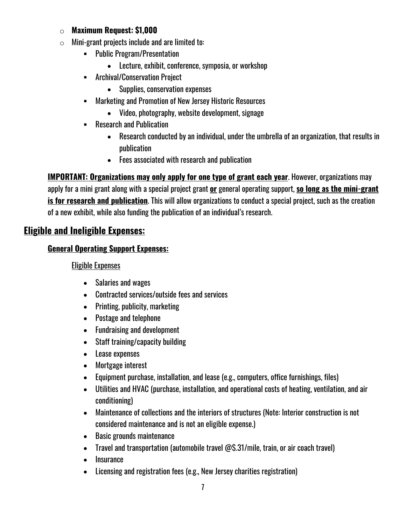#### o **Maximum Request: \$1,000**

- $\circ$  Mini-grant projects include and are limited to:
	- § Public Program/Presentation
		- Lecture, exhibit, conference, symposia, or workshop
	- § Archival/Conservation Project
		- Supplies, conservation expenses
	- § Marketing and Promotion of New Jersey Historic Resources
		- Video, photography, website development, signage
	- Research and Publication
		- Research conducted by an individual, under the umbrella of an organization, that results in publication
		- Fees associated with research and publication

**IMPORTANT: Organizations may only apply for one type of grant each year**. However, organizations may apply for a mini grant along with a special project grant **or** general operating support, **so long as the mini-grant is for research and publication**. This will allow organizations to conduct a special project, such as the creation of a new exhibit, while also funding the publication of an individual's research.

# **Eligible and Ineligible Expenses:**

#### **General Operating Support Expenses:**

#### Eligible Expenses

- Salaries and wages
- Contracted services/outside fees and services
- Printing, publicity, marketing
- Postage and telephone
- Fundraising and development
- Staff training/capacity building
- Lease expenses
- Mortgage interest
- Equipment purchase, installation, and lease (e.g., computers, office furnishings, files)
- Utilities and HVAC (purchase, installation, and operational costs of heating, ventilation, and air conditioning)
- Maintenance of collections and the interiors of structures (Note: Interior construction is not considered maintenance and is not an eligible expense.)
- Basic grounds maintenance
- Travel and transportation (automobile travel @\$.31/mile, train, or air coach travel)
- Insurance
- Licensing and registration fees (e.g., New Jersey charities registration)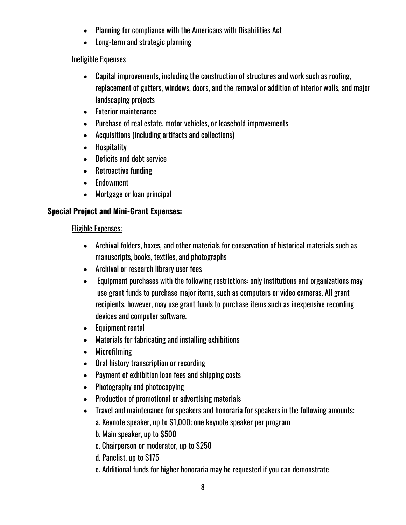- Planning for compliance with the Americans with Disabilities Act
- Long-term and strategic planning

#### Ineligible Expenses

- Capital improvements, including the construction of structures and work such as roofing, replacement of gutters, windows, doors, and the removal or addition of interior walls, and major landscaping projects
- Exterior maintenance
- Purchase of real estate, motor vehicles, or leasehold improvements
- Acquisitions (including artifacts and collections)
- Hospitality
- Deficits and debt service
- Retroactive funding
- Endowment
- Mortgage or loan principal

#### **Special Project and Mini-Grant Expenses:**

#### Eligible Expenses:

- Archival folders, boxes, and other materials for conservation of historical materials such as manuscripts, books, textiles, and photographs
- Archival or research library user fees
- Equipment purchases with the following restrictions: only institutions and organizations may use grant funds to purchase major items, such as computers or video cameras. All grant recipients, however, may use grant funds to purchase items such as inexpensive recording devices and computer software.
- Equipment rental
- Materials for fabricating and installing exhibitions
- Microfilming
- Oral history transcription or recording
- Payment of exhibition loan fees and shipping costs
- Photography and photocopying
- Production of promotional or advertising materials
- Travel and maintenance for speakers and honoraria for speakers in the following amounts:
	- a. Keynote speaker, up to \$1,000; one keynote speaker per program
	- b. Main speaker, up to \$500
	- c. Chairperson or moderator, up to \$250
	- d. Panelist, up to \$175
	- e. Additional funds for higher honoraria may be requested if you can demonstrate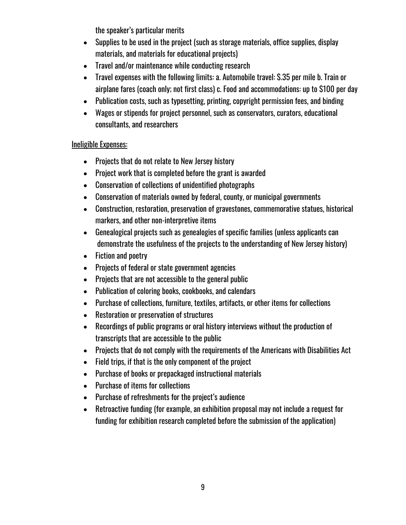the speaker's particular merits

- Supplies to be used in the project (such as storage materials, office supplies, display materials, and materials for educational projects)
- Travel and/or maintenance while conducting research
- Travel expenses with the following limits: a. Automobile travel: \$.35 per mile b. Train or airplane fares (coach only; not first class) c. Food and accommodations: up to \$100 per day
- Publication costs, such as typesetting, printing, copyright permission fees, and binding
- Wages or stipends for project personnel, such as conservators, curators, educational consultants, and researchers

#### Ineligible Expenses:

- Projects that do not relate to New Jersey history
- Project work that is completed before the grant is awarded
- Conservation of collections of unidentified photographs
- Conservation of materials owned by federal, county, or municipal governments
- Construction, restoration, preservation of gravestones, commemorative statues, historical markers, and other non-interpretive items
- Genealogical projects such as genealogies of specific families (unless applicants can demonstrate the usefulness of the projects to the understanding of New Jersey history)
- Fiction and poetry
- Projects of federal or state government agencies
- Projects that are not accessible to the general public
- Publication of coloring books, cookbooks, and calendars
- Purchase of collections, furniture, textiles, artifacts, or other items for collections
- Restoration or preservation of structures
- Recordings of public programs or oral history interviews without the production of transcripts that are accessible to the public
- Projects that do not comply with the requirements of the Americans with Disabilities Act
- Field trips, if that is the only component of the project
- Purchase of books or prepackaged instructional materials
- Purchase of items for collections
- Purchase of refreshments for the project's audience
- Retroactive funding (for example, an exhibition proposal may not include a request for funding for exhibition research completed before the submission of the application)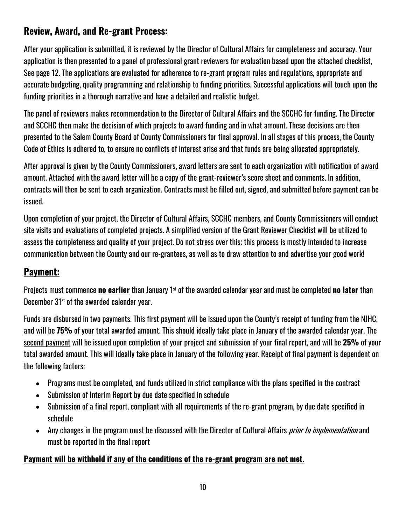# **Review, Award, and Re-grant Process:**

After your application is submitted, it is reviewed by the Director of Cultural Affairs for completeness and accuracy. Your application is then presented to a panel of professional grant reviewers for evaluation based upon the attached checklist, See page 12. The applications are evaluated for adherence to re-grant program rules and regulations, appropriate and accurate budgeting, quality programming and relationship to funding priorities. Successful applications will touch upon the funding priorities in a thorough narrative and have a detailed and realistic budget.

The panel of reviewers makes recommendation to the Director of Cultural Affairs and the SCCHC for funding. The Director and SCCHC then make the decision of which projects to award funding and in what amount. These decisions are then presented to the Salem County Board of County Commissioners for final approval. In all stages of this process, the County Code of Ethics is adhered to, to ensure no conflicts of interest arise and that funds are being allocated appropriately.

After approval is given by the County Commissioners, award letters are sent to each organization with notification of award amount. Attached with the award letter will be a copy of the grant-reviewer's score sheet and comments. In addition, contracts will then be sent to each organization. Contracts must be filled out, signed, and submitted before payment can be issued.

Upon completion of your project, the Director of Cultural Affairs, SCCHC members, and County Commissioners will conduct site visits and evaluations of completed projects. A simplified version of the Grant Reviewer Checklist will be utilized to assess the completeness and quality of your project. Do not stress over this; this process is mostly intended to increase communication between the County and our re-grantees, as well as to draw attention to and advertise your good work!

# **Payment:**

Projects must commence **no earlier** than January 1st of the awarded calendar year and must be completed **no later** than December 31<sup>st</sup> of the awarded calendar year.

Funds are disbursed in two payments. This first payment will be issued upon the County's receipt of funding from the NJHC, and will be **75%** of your total awarded amount. This should ideally take place in January of the awarded calendar year. The second payment will be issued upon completion of your project and submission of your final report, and will be **25%** of your total awarded amount. This will ideally take place in January of the following year. Receipt of final payment is dependent on the following factors:

- Programs must be completed, and funds utilized in strict compliance with the plans specified in the contract
- Submission of Interim Report by due date specified in schedule
- Submission of a final report, compliant with all requirements of the re-grant program, by due date specified in schedule
- Any changes in the program must be discussed with the Director of Cultural Affairs *prior to implementation* and must be reported in the final report

#### **Payment will be withheld if any of the conditions of the re-grant program are not met.**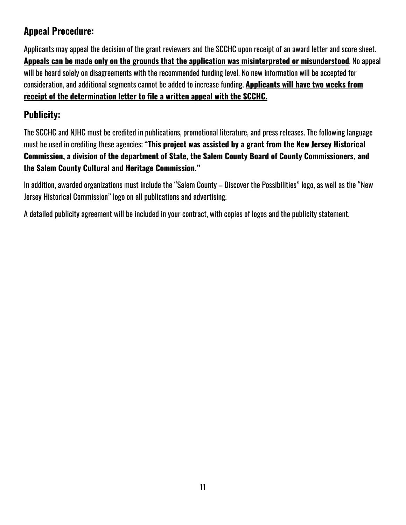# **Appeal Procedure:**

Applicants may appeal the decision of the grant reviewers and the SCCHC upon receipt of an award letter and score sheet. **Appeals can be made only on the grounds that the application was misinterpreted or misunderstood**. No appeal will be heard solely on disagreements with the recommended funding level. No new information will be accepted for consideration, and additional segments cannot be added to increase funding. **Applicants will have two weeks from receipt of the determination letter to file a written appeal with the SCCHC.** 

# **Publicity:**

The SCCHC and NJHC must be credited in publications, promotional literature, and press releases. The following language must be used in crediting these agencies: **"This project was assisted by a grant from the New Jersey Historical Commission, a division of the department of State, the Salem County Board of County Commissioners, and the Salem County Cultural and Heritage Commission."**

In addition, awarded organizations must include the "Salem County – Discover the Possibilities" logo, as well as the "New Jersey Historical Commission" logo on all publications and advertising.

A detailed publicity agreement will be included in your contract, with copies of logos and the publicity statement.